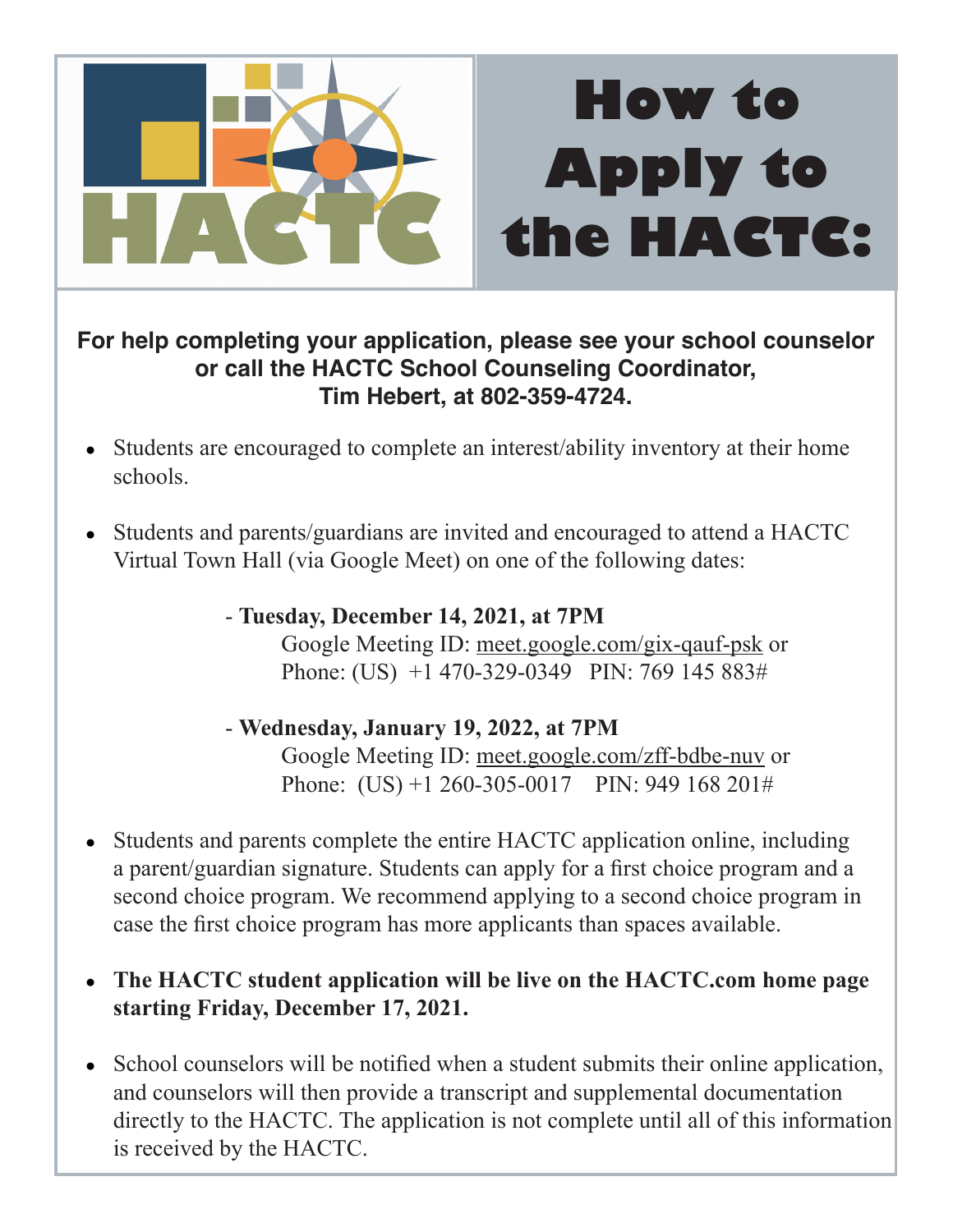

## **For help completing your application, please see your school counselor or call the HACTC School Counseling Coordinator, Tim Hebert, at 802-359-4724.**

- Students are encouraged to complete an interest/ability inventory at their home schools.
- Students and parents/guardians are invited and encouraged to attend a HACTC Virtual Town Hall (via Google Meet) on one of the following dates:
	- **Tuesday, December 14, 2021, at 7PM** Google Meeting ID: meet.google.com/gix-qauf-psk or Phone: (US) +1 470-329-0349 PIN: 769 145 883#

 - **Wednesday, January 19, 2022, at 7PM** Google Meeting ID: meet.google.com/zff-bdbe-nuv or Phone: (US) +1 260-305-0017 PIN: 949 168 201#

- Students and parents complete the entire HACTC application online, including a parent/guardian signature. Students can apply for a first choice program and a second choice program. We recommend applying to a second choice program in case the first choice program has more applicants than spaces available.
- The HACTC student application will be live on the HACTC.com home page **starting Friday, December 17, 2021.**
- School counselors will be notified when a student submits their online application, and counselors will then provide a transcript and supplemental documentation directly to the HACTC. The application is not complete until all of this information is received by the HACTC.